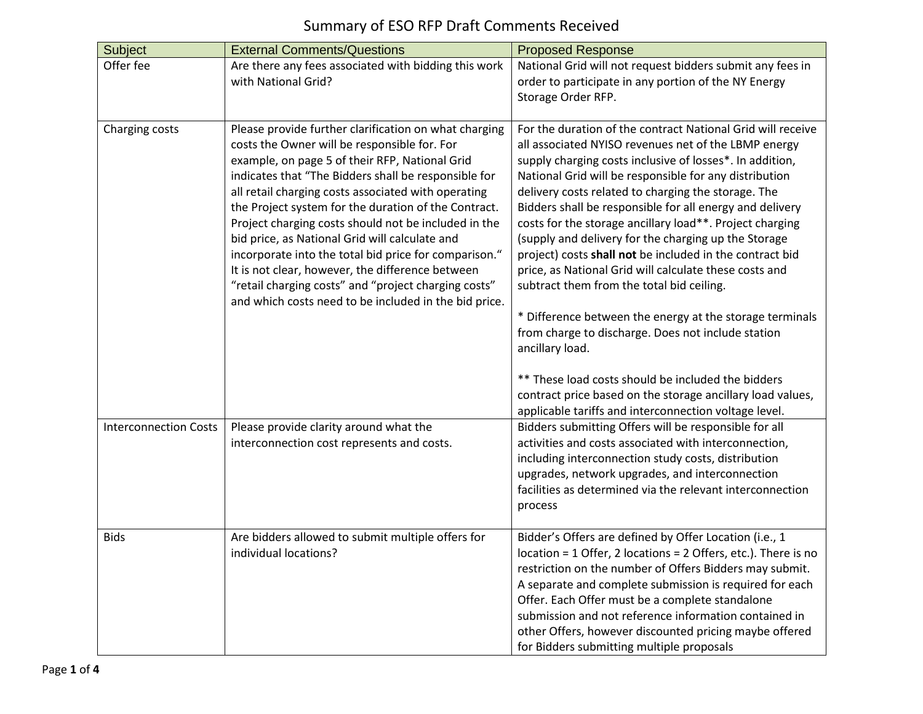## Summary of ESO RFP Draft Comments Received

| Subject                      | <b>External Comments/Questions</b>                                                                                                                                                                                                                                                                                                                                                                                                                                                                                                                                                                                                                                     | <b>Proposed Response</b>                                                                                                                                                                                                                                                                                                                                                                                                                                                                                                                                                                                                                                                                                                                                                                                                                                                                                                                                              |
|------------------------------|------------------------------------------------------------------------------------------------------------------------------------------------------------------------------------------------------------------------------------------------------------------------------------------------------------------------------------------------------------------------------------------------------------------------------------------------------------------------------------------------------------------------------------------------------------------------------------------------------------------------------------------------------------------------|-----------------------------------------------------------------------------------------------------------------------------------------------------------------------------------------------------------------------------------------------------------------------------------------------------------------------------------------------------------------------------------------------------------------------------------------------------------------------------------------------------------------------------------------------------------------------------------------------------------------------------------------------------------------------------------------------------------------------------------------------------------------------------------------------------------------------------------------------------------------------------------------------------------------------------------------------------------------------|
| Offer fee                    | Are there any fees associated with bidding this work<br>with National Grid?                                                                                                                                                                                                                                                                                                                                                                                                                                                                                                                                                                                            | National Grid will not request bidders submit any fees in<br>order to participate in any portion of the NY Energy<br>Storage Order RFP.                                                                                                                                                                                                                                                                                                                                                                                                                                                                                                                                                                                                                                                                                                                                                                                                                               |
| Charging costs               | Please provide further clarification on what charging<br>costs the Owner will be responsible for. For<br>example, on page 5 of their RFP, National Grid<br>indicates that "The Bidders shall be responsible for<br>all retail charging costs associated with operating<br>the Project system for the duration of the Contract.<br>Project charging costs should not be included in the<br>bid price, as National Grid will calculate and<br>incorporate into the total bid price for comparison."<br>It is not clear, however, the difference between<br>"retail charging costs" and "project charging costs"<br>and which costs need to be included in the bid price. | For the duration of the contract National Grid will receive<br>all associated NYISO revenues net of the LBMP energy<br>supply charging costs inclusive of losses*. In addition,<br>National Grid will be responsible for any distribution<br>delivery costs related to charging the storage. The<br>Bidders shall be responsible for all energy and delivery<br>costs for the storage ancillary load**. Project charging<br>(supply and delivery for the charging up the Storage<br>project) costs shall not be included in the contract bid<br>price, as National Grid will calculate these costs and<br>subtract them from the total bid ceiling.<br>* Difference between the energy at the storage terminals<br>from charge to discharge. Does not include station<br>ancillary load.<br>** These load costs should be included the bidders<br>contract price based on the storage ancillary load values,<br>applicable tariffs and interconnection voltage level. |
| <b>Interconnection Costs</b> | Please provide clarity around what the<br>interconnection cost represents and costs.                                                                                                                                                                                                                                                                                                                                                                                                                                                                                                                                                                                   | Bidders submitting Offers will be responsible for all<br>activities and costs associated with interconnection,<br>including interconnection study costs, distribution<br>upgrades, network upgrades, and interconnection<br>facilities as determined via the relevant interconnection<br>process                                                                                                                                                                                                                                                                                                                                                                                                                                                                                                                                                                                                                                                                      |
| <b>Bids</b>                  | Are bidders allowed to submit multiple offers for<br>individual locations?                                                                                                                                                                                                                                                                                                                                                                                                                                                                                                                                                                                             | Bidder's Offers are defined by Offer Location (i.e., 1<br>location = 1 Offer, 2 locations = 2 Offers, etc.). There is no<br>restriction on the number of Offers Bidders may submit.<br>A separate and complete submission is required for each<br>Offer. Each Offer must be a complete standalone<br>submission and not reference information contained in<br>other Offers, however discounted pricing maybe offered<br>for Bidders submitting multiple proposals                                                                                                                                                                                                                                                                                                                                                                                                                                                                                                     |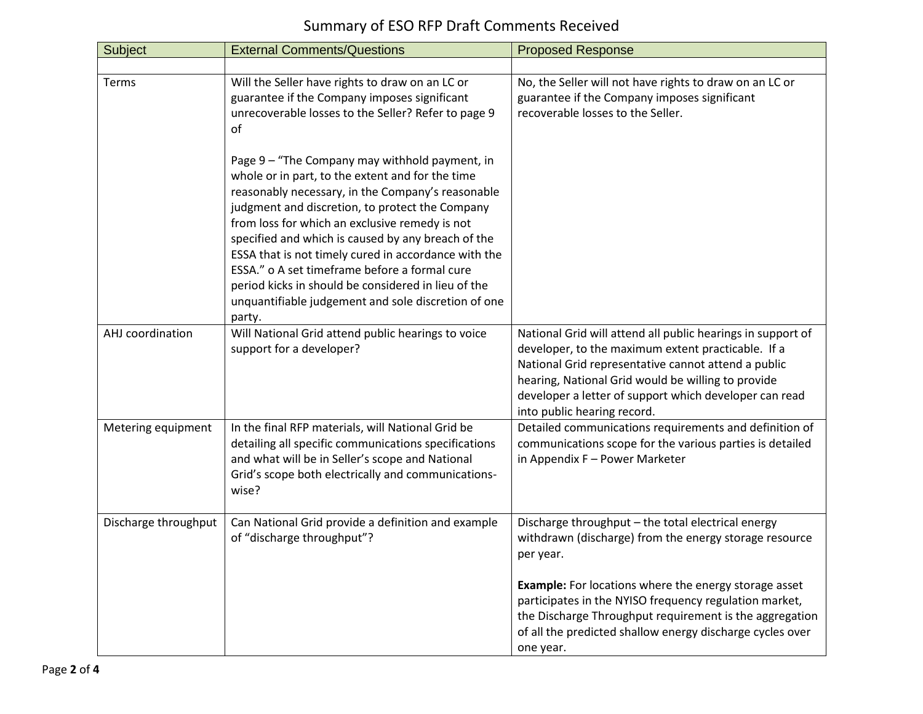| Subject              | <b>External Comments/Questions</b>                                                                                                                                                                                                                                                                                                                                                                                                                                                                                                                  | <b>Proposed Response</b>                                                                                                                                                                                                                                                                                                |
|----------------------|-----------------------------------------------------------------------------------------------------------------------------------------------------------------------------------------------------------------------------------------------------------------------------------------------------------------------------------------------------------------------------------------------------------------------------------------------------------------------------------------------------------------------------------------------------|-------------------------------------------------------------------------------------------------------------------------------------------------------------------------------------------------------------------------------------------------------------------------------------------------------------------------|
|                      |                                                                                                                                                                                                                                                                                                                                                                                                                                                                                                                                                     |                                                                                                                                                                                                                                                                                                                         |
| Terms                | Will the Seller have rights to draw on an LC or<br>guarantee if the Company imposes significant<br>unrecoverable losses to the Seller? Refer to page 9<br>οf                                                                                                                                                                                                                                                                                                                                                                                        | No, the Seller will not have rights to draw on an LC or<br>guarantee if the Company imposes significant<br>recoverable losses to the Seller.                                                                                                                                                                            |
|                      | Page 9 - "The Company may withhold payment, in<br>whole or in part, to the extent and for the time<br>reasonably necessary, in the Company's reasonable<br>judgment and discretion, to protect the Company<br>from loss for which an exclusive remedy is not<br>specified and which is caused by any breach of the<br>ESSA that is not timely cured in accordance with the<br>ESSA." o A set timeframe before a formal cure<br>period kicks in should be considered in lieu of the<br>unquantifiable judgement and sole discretion of one<br>party. |                                                                                                                                                                                                                                                                                                                         |
| AHJ coordination     | Will National Grid attend public hearings to voice<br>support for a developer?                                                                                                                                                                                                                                                                                                                                                                                                                                                                      | National Grid will attend all public hearings in support of<br>developer, to the maximum extent practicable. If a<br>National Grid representative cannot attend a public<br>hearing, National Grid would be willing to provide<br>developer a letter of support which developer can read<br>into public hearing record. |
| Metering equipment   | In the final RFP materials, will National Grid be<br>detailing all specific communications specifications<br>and what will be in Seller's scope and National<br>Grid's scope both electrically and communications-<br>wise?                                                                                                                                                                                                                                                                                                                         | Detailed communications requirements and definition of<br>communications scope for the various parties is detailed<br>in Appendix F - Power Marketer                                                                                                                                                                    |
| Discharge throughput | Can National Grid provide a definition and example<br>of "discharge throughput"?                                                                                                                                                                                                                                                                                                                                                                                                                                                                    | Discharge throughput - the total electrical energy<br>withdrawn (discharge) from the energy storage resource<br>per year.                                                                                                                                                                                               |
|                      |                                                                                                                                                                                                                                                                                                                                                                                                                                                                                                                                                     | <b>Example:</b> For locations where the energy storage asset<br>participates in the NYISO frequency regulation market,<br>the Discharge Throughput requirement is the aggregation<br>of all the predicted shallow energy discharge cycles over<br>one year.                                                             |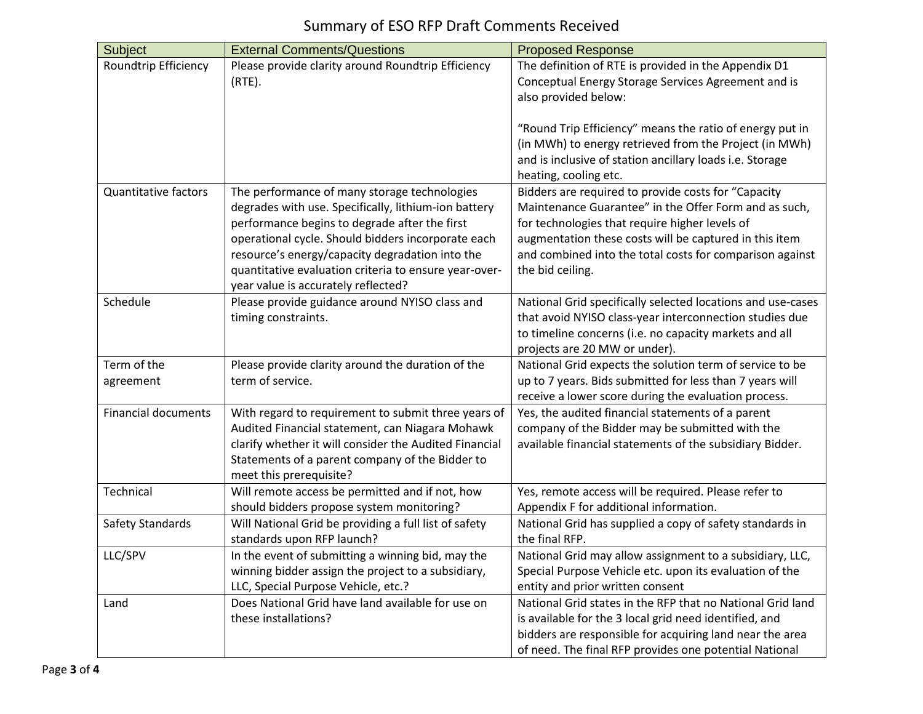## Summary of ESO RFP Draft Comments Received

| Subject                     | <b>External Comments/Questions</b>                     | <b>Proposed Response</b>                                                                                  |
|-----------------------------|--------------------------------------------------------|-----------------------------------------------------------------------------------------------------------|
| Roundtrip Efficiency        | Please provide clarity around Roundtrip Efficiency     | The definition of RTE is provided in the Appendix D1                                                      |
|                             | $(RTE)$ .                                              | Conceptual Energy Storage Services Agreement and is                                                       |
|                             |                                                        | also provided below:                                                                                      |
|                             |                                                        |                                                                                                           |
|                             |                                                        | "Round Trip Efficiency" means the ratio of energy put in                                                  |
|                             |                                                        | (in MWh) to energy retrieved from the Project (in MWh)                                                    |
|                             |                                                        | and is inclusive of station ancillary loads i.e. Storage                                                  |
| <b>Quantitative factors</b> | The performance of many storage technologies           | heating, cooling etc.<br>Bidders are required to provide costs for "Capacity                              |
|                             | degrades with use. Specifically, lithium-ion battery   | Maintenance Guarantee" in the Offer Form and as such,                                                     |
|                             | performance begins to degrade after the first          | for technologies that require higher levels of                                                            |
|                             | operational cycle. Should bidders incorporate each     | augmentation these costs will be captured in this item                                                    |
|                             | resource's energy/capacity degradation into the        | and combined into the total costs for comparison against                                                  |
|                             | quantitative evaluation criteria to ensure year-over-  | the bid ceiling.                                                                                          |
|                             | year value is accurately reflected?                    |                                                                                                           |
| Schedule                    | Please provide guidance around NYISO class and         | National Grid specifically selected locations and use-cases                                               |
|                             | timing constraints.                                    | that avoid NYISO class-year interconnection studies due                                                   |
|                             |                                                        | to timeline concerns (i.e. no capacity markets and all                                                    |
|                             |                                                        | projects are 20 MW or under).                                                                             |
| Term of the                 | Please provide clarity around the duration of the      | National Grid expects the solution term of service to be                                                  |
| agreement                   | term of service.                                       | up to 7 years. Bids submitted for less than 7 years will                                                  |
| <b>Financial documents</b>  | With regard to requirement to submit three years of    | receive a lower score during the evaluation process.<br>Yes, the audited financial statements of a parent |
|                             | Audited Financial statement, can Niagara Mohawk        | company of the Bidder may be submitted with the                                                           |
|                             | clarify whether it will consider the Audited Financial | available financial statements of the subsidiary Bidder.                                                  |
|                             | Statements of a parent company of the Bidder to        |                                                                                                           |
|                             | meet this prerequisite?                                |                                                                                                           |
| Technical                   | Will remote access be permitted and if not, how        | Yes, remote access will be required. Please refer to                                                      |
|                             | should bidders propose system monitoring?              | Appendix F for additional information.                                                                    |
| Safety Standards            | Will National Grid be providing a full list of safety  | National Grid has supplied a copy of safety standards in                                                  |
|                             | standards upon RFP launch?                             | the final RFP.                                                                                            |
| LLC/SPV                     | In the event of submitting a winning bid, may the      | National Grid may allow assignment to a subsidiary, LLC,                                                  |
|                             | winning bidder assign the project to a subsidiary,     | Special Purpose Vehicle etc. upon its evaluation of the                                                   |
|                             | LLC, Special Purpose Vehicle, etc.?                    | entity and prior written consent                                                                          |
| Land                        | Does National Grid have land available for use on      | National Grid states in the RFP that no National Grid land                                                |
|                             | these installations?                                   | is available for the 3 local grid need identified, and                                                    |
|                             |                                                        | bidders are responsible for acquiring land near the area                                                  |
|                             |                                                        | of need. The final RFP provides one potential National                                                    |